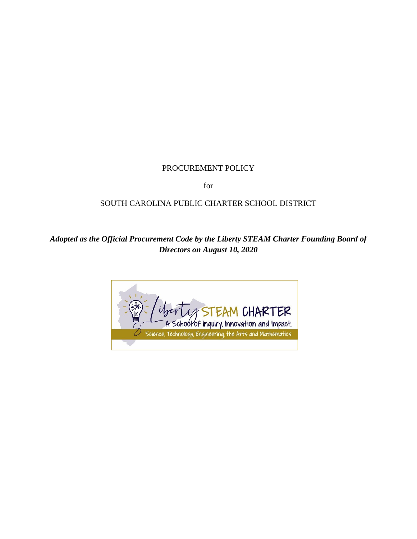# PROCUREMENT POLICY

for

# SOUTH CAROLINA PUBLIC CHARTER SCHOOL DISTRICT

# *Adopted as the Official Procurement Code by the Liberty STEAM Charter Founding Board of Directors on August 10, 2020*

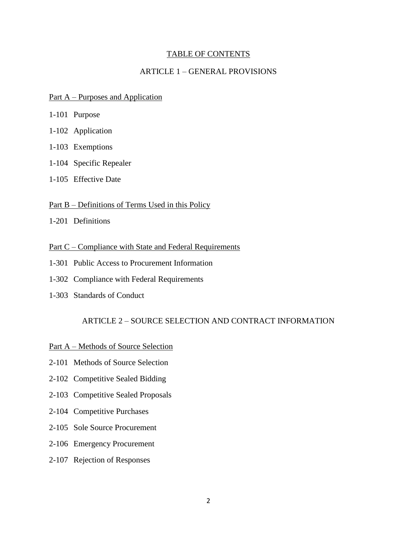### TABLE OF CONTENTS

## ARTICLE 1 – GENERAL PROVISIONS

#### Part A – Purposes and Application

- 1-101 Purpose
- 1-102 Application
- 1-103 Exemptions
- 1-104 Specific Repealer
- 1-105 Effective Date

#### Part B – Definitions of Terms Used in this Policy

1-201 Definitions

### Part C – Compliance with State and Federal Requirements

- 1-301 Public Access to Procurement Information
- 1-302 Compliance with Federal Requirements
- 1-303 Standards of Conduct

### ARTICLE 2 – SOURCE SELECTION AND CONTRACT INFORMATION

- Part A Methods of Source Selection
- 2-101 Methods of Source Selection
- 2-102 Competitive Sealed Bidding
- 2-103 Competitive Sealed Proposals
- 2-104 Competitive Purchases
- 2-105 Sole Source Procurement
- 2-106 Emergency Procurement
- 2-107 Rejection of Responses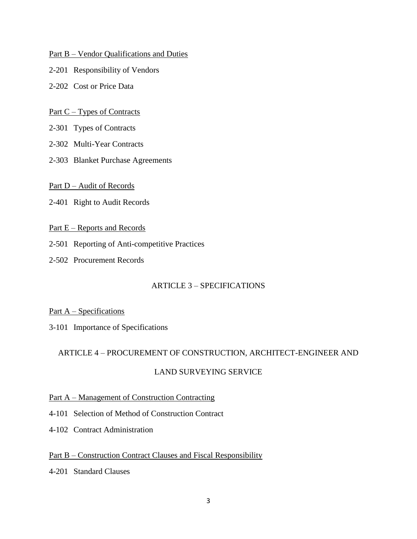### Part B – Vendor Qualifications and Duties

- 2-201 Responsibility of Vendors
- 2-202 Cost or Price Data

### Part C – Types of Contracts

- 2-301 Types of Contracts
- 2-302 Multi-Year Contracts
- 2-303 Blanket Purchase Agreements

### Part D – Audit of Records

- 2-401 Right to Audit Records
- Part E Reports and Records
- 2-501 Reporting of Anti-competitive Practices
- 2-502 Procurement Records

## ARTICLE 3 – SPECIFICATIONS

#### Part A – Specifications

3-101 Importance of Specifications

## ARTICLE 4 – PROCUREMENT OF CONSTRUCTION, ARCHITECT-ENGINEER AND

## LAND SURVEYING SERVICE

## Part A – Management of Construction Contracting

- 4-101 Selection of Method of Construction Contract
- 4-102 Contract Administration

## Part B – Construction Contract Clauses and Fiscal Responsibility

4-201 Standard Clauses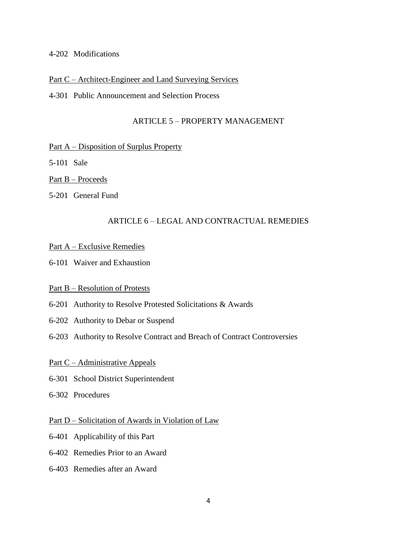### 4-202 Modifications

### Part C – Architect-Engineer and Land Surveying Services

### 4-301 Public Announcement and Selection Process

## ARTICLE 5 – PROPERTY MANAGEMENT

### Part A – Disposition of Surplus Property

5-101 Sale

### Part B – Proceeds

5-201 General Fund

## ARTICLE 6 – LEGAL AND CONTRACTUAL REMEDIES

### Part A – Exclusive Remedies

6-101 Waiver and Exhaustion

## Part B – Resolution of Protests

- 6-201 Authority to Resolve Protested Solicitations & Awards
- 6-202 Authority to Debar or Suspend
- 6-203 Authority to Resolve Contract and Breach of Contract Controversies

## Part C – Administrative Appeals

- 6-301 School District Superintendent
- 6-302 Procedures

#### Part D – Solicitation of Awards in Violation of Law

- 6-401 Applicability of this Part
- 6-402 Remedies Prior to an Award
- 6-403 Remedies after an Award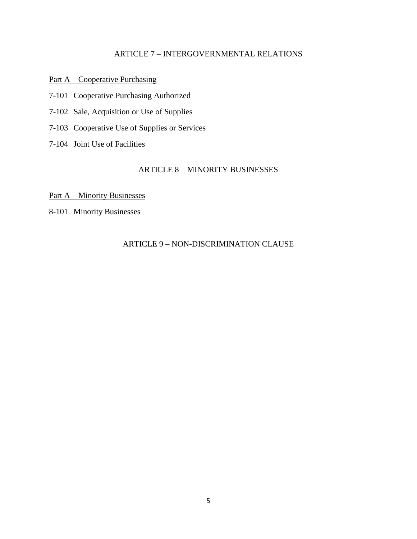# ARTICLE 7 – INTERGOVERNMENTAL RELATIONS

Part A – Cooperative Purchasing

- 7-101 Cooperative Purchasing Authorized
- 7-102 Sale, Acquisition or Use of Supplies
- 7-103 Cooperative Use of Supplies or Services
- 7-104 Joint Use of Facilities

# ARTICLE 8 – MINORITY BUSINESSES

Part A – Minority Businesses

8-101 Minority Businesses

# ARTICLE 9 – NON-DISCRIMINATION CLAUSE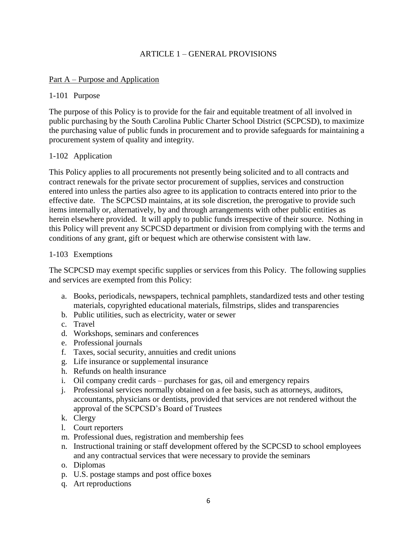# ARTICLE 1 – GENERAL PROVISIONS

## Part A – Purpose and Application

## 1-101 Purpose

The purpose of this Policy is to provide for the fair and equitable treatment of all involved in public purchasing by the South Carolina Public Charter School District (SCPCSD), to maximize the purchasing value of public funds in procurement and to provide safeguards for maintaining a procurement system of quality and integrity.

## 1-102 Application

This Policy applies to all procurements not presently being solicited and to all contracts and contract renewals for the private sector procurement of supplies, services and construction entered into unless the parties also agree to its application to contracts entered into prior to the effective date. The SCPCSD maintains, at its sole discretion, the prerogative to provide such items internally or, alternatively, by and through arrangements with other public entities as herein elsewhere provided. It will apply to public funds irrespective of their source. Nothing in this Policy will prevent any SCPCSD department or division from complying with the terms and conditions of any grant, gift or bequest which are otherwise consistent with law.

## 1-103 Exemptions

The SCPCSD may exempt specific supplies or services from this Policy. The following supplies and services are exempted from this Policy:

- a. Books, periodicals, newspapers, technical pamphlets, standardized tests and other testing materials, copyrighted educational materials, filmstrips, slides and transparencies
- b. Public utilities, such as electricity, water or sewer
- c. Travel
- d. Workshops, seminars and conferences
- e. Professional journals
- f. Taxes, social security, annuities and credit unions
- g. Life insurance or supplemental insurance
- h. Refunds on health insurance
- i. Oil company credit cards purchases for gas, oil and emergency repairs
- j. Professional services normally obtained on a fee basis, such as attorneys, auditors, accountants, physicians or dentists, provided that services are not rendered without the approval of the SCPCSD's Board of Trustees
- k. Clergy
- l. Court reporters
- m. Professional dues, registration and membership fees
- n. Instructional training or staff development offered by the SCPCSD to school employees and any contractual services that were necessary to provide the seminars
- o. Diplomas
- p. U.S. postage stamps and post office boxes
- q. Art reproductions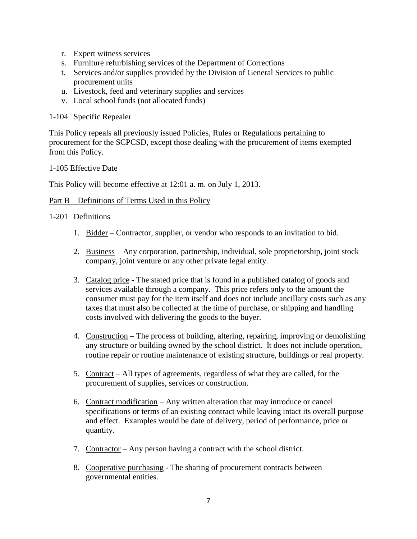- r. Expert witness services
- s. Furniture refurbishing services of the Department of Corrections
- t. Services and/or supplies provided by the Division of General Services to public procurement units
- u. Livestock, feed and veterinary supplies and services
- v. Local school funds (not allocated funds)

1-104 Specific Repealer

This Policy repeals all previously issued Policies, Rules or Regulations pertaining to procurement for the SCPCSD, except those dealing with the procurement of items exempted from this Policy.

## 1-105 Effective Date

This Policy will become effective at 12:01 a. m. on July 1, 2013.

### Part B – Definitions of Terms Used in this Policy

## 1-201 Definitions

- 1. Bidder Contractor, supplier, or vendor who responds to an invitation to bid.
- 2. Business Any corporation, partnership, individual, sole proprietorship, joint stock company, joint venture or any other private legal entity.
- 3. Catalog price The stated price that is found in a published catalog of goods and services available through a company. This price refers only to the amount the consumer must pay for the item itself and does not include ancillary costs such as any taxes that must also be collected at the time of purchase, or shipping and handling costs involved with delivering the goods to the buyer.
- 4. Construction The process of building, altering, repairing, improving or demolishing any structure or building owned by the school district. It does not include operation, routine repair or routine maintenance of existing structure, buildings or real property.
- 5. Contract All types of agreements, regardless of what they are called, for the procurement of supplies, services or construction.
- 6. Contract modification Any written alteration that may introduce or cancel specifications or terms of an existing contract while leaving intact its overall purpose and effect. Examples would be date of delivery, period of performance, price or quantity.
- 7. Contractor Any person having a contract with the school district.
- 8. Cooperative purchasing The sharing of procurement contracts between governmental entities.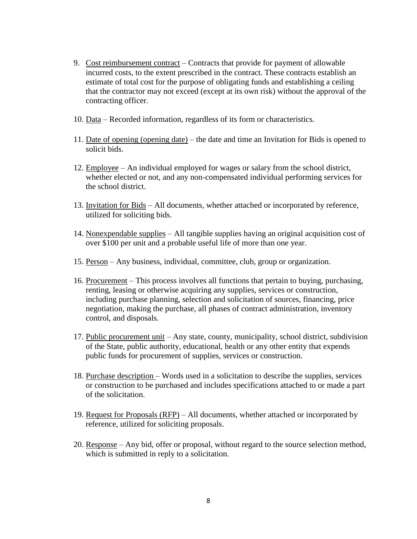- 9. Cost reimbursement contract Contracts that provide for payment of allowable incurred costs, to the extent prescribed in the contract. These contracts establish an estimate of total cost for the purpose of obligating funds and establishing a ceiling that the contractor may not exceed (except at its own risk) without the approval of the contracting officer.
- 10. Data Recorded information, regardless of its form or characteristics.
- 11. Date of opening (opening date) the date and time an Invitation for Bids is opened to solicit bids.
- 12. Employee An individual employed for wages or salary from the school district, whether elected or not, and any non-compensated individual performing services for the school district.
- 13. Invitation for Bids All documents, whether attached or incorporated by reference, utilized for soliciting bids.
- 14. Nonexpendable supplies All tangible supplies having an original acquisition cost of over \$100 per unit and a probable useful life of more than one year.
- 15. Person Any business, individual, committee, club, group or organization.
- 16. Procurement This process involves all functions that pertain to buying, purchasing, renting, leasing or otherwise acquiring any supplies, services or construction, including purchase planning, selection and solicitation of sources, financing, price negotiation, making the purchase, all phases of contract administration, inventory control, and disposals.
- 17. Public procurement unit Any state, county, municipality, school district, subdivision of the State, public authority, educational, health or any other entity that expends public funds for procurement of supplies, services or construction.
- 18. Purchase description Words used in a solicitation to describe the supplies, services or construction to be purchased and includes specifications attached to or made a part of the solicitation.
- 19. Request for Proposals (RFP) All documents, whether attached or incorporated by reference, utilized for soliciting proposals.
- 20. Response Any bid, offer or proposal, without regard to the source selection method, which is submitted in reply to a solicitation.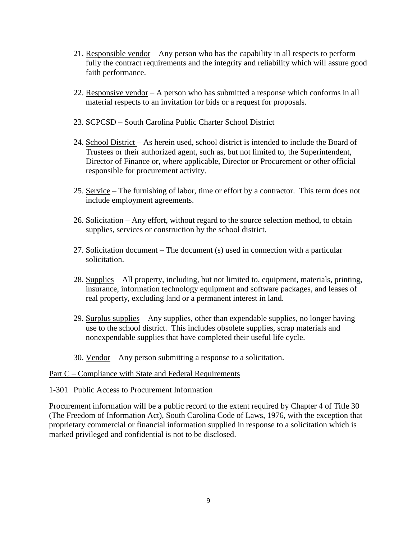- 21. Responsible vendor Any person who has the capability in all respects to perform fully the contract requirements and the integrity and reliability which will assure good faith performance.
- 22. Responsive vendor A person who has submitted a response which conforms in all material respects to an invitation for bids or a request for proposals.
- 23. SCPCSD South Carolina Public Charter School District
- 24. School District As herein used, school district is intended to include the Board of Trustees or their authorized agent, such as, but not limited to, the Superintendent, Director of Finance or, where applicable, Director or Procurement or other official responsible for procurement activity.
- 25. Service The furnishing of labor, time or effort by a contractor. This term does not include employment agreements.
- 26. Solicitation Any effort, without regard to the source selection method, to obtain supplies, services or construction by the school district.
- 27. Solicitation document The document (s) used in connection with a particular solicitation.
- 28. Supplies All property, including, but not limited to, equipment, materials, printing, insurance, information technology equipment and software packages, and leases of real property, excluding land or a permanent interest in land.
- 29. Surplus supplies Any supplies, other than expendable supplies, no longer having use to the school district. This includes obsolete supplies, scrap materials and nonexpendable supplies that have completed their useful life cycle.
- 30. Vendor Any person submitting a response to a solicitation.

#### Part C – Compliance with State and Federal Requirements

### 1-301 Public Access to Procurement Information

Procurement information will be a public record to the extent required by Chapter 4 of Title 30 (The Freedom of Information Act), South Carolina Code of Laws, 1976, with the exception that proprietary commercial or financial information supplied in response to a solicitation which is marked privileged and confidential is not to be disclosed.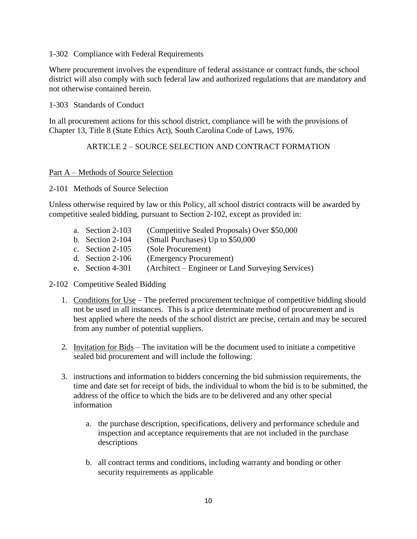## 1-302 Compliance with Federal Requirements

Where procurement involves the expenditure of federal assistance or contract funds, the school district will also comply with such federal law and authorized regulations that are mandatory and not otherwise contained herein.

1-303 Standards of Conduct

In all procurement actions for this school district, compliance will be with the provisions of Chapter 13, Title 8 (State Ethics Act), South Carolina Code of Laws, 1976.

## ARTICLE 2 – SOURCE SELECTION AND CONTRACT FORMATION

## Part A – Methods of Source Selection

2-101 Methods of Source Selection

Unless otherwise required by law or this Policy, all school district contracts will be awarded by competitive sealed bidding, pursuant to Section 2-102, except as provided in:

- a. Section 2-103 (Competitive Sealed Proposals) Over \$50,000
- b. Section 2-104 (Small Purchases) Up to \$50,000
- c. Section 2-105 (Sole Procurement)
- d. Section 2-106 (Emergency Procurement)
- e. Section 4-301 (Architect Engineer or Land Surveying Services)
- 2-102 Competitive Sealed Bidding
	- 1. Conditions for Use The preferred procurement technique of competitive bidding should not be used in all instances. This is a price determinate method of procurement and is best applied where the needs of the school district are precise, certain and may be secured from any number of potential suppliers.
	- 2. Invitation for Bids The invitation will be the document used to initiate a competitive sealed bid procurement and will include the following:
	- 3. instructions and information to bidders concerning the bid submission requirements, the time and date set for receipt of bids, the individual to whom the bid is to be submitted, the address of the office to which the bids are to be delivered and any other special information
		- a. the purchase description, specifications, delivery and performance schedule and inspection and acceptance requirements that are not included in the purchase descriptions
		- b. all contract terms and conditions, including warranty and bonding or other security requirements as applicable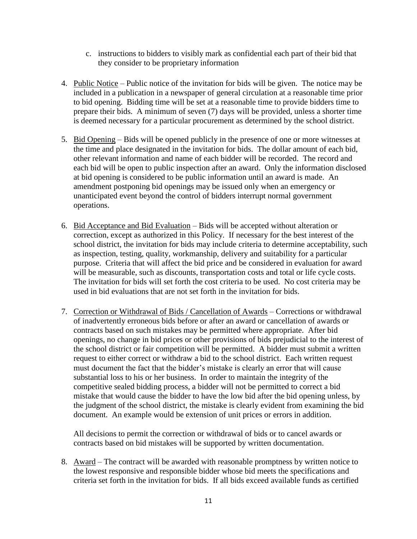- c. instructions to bidders to visibly mark as confidential each part of their bid that they consider to be proprietary information
- 4. Public Notice Public notice of the invitation for bids will be given. The notice may be included in a publication in a newspaper of general circulation at a reasonable time prior to bid opening. Bidding time will be set at a reasonable time to provide bidders time to prepare their bids. A minimum of seven (7) days will be provided, unless a shorter time is deemed necessary for a particular procurement as determined by the school district.
- 5. Bid Opening Bids will be opened publicly in the presence of one or more witnesses at the time and place designated in the invitation for bids. The dollar amount of each bid, other relevant information and name of each bidder will be recorded. The record and each bid will be open to public inspection after an award. Only the information disclosed at bid opening is considered to be public information until an award is made. An amendment postponing bid openings may be issued only when an emergency or unanticipated event beyond the control of bidders interrupt normal government operations.
- 6. Bid Acceptance and Bid Evaluation Bids will be accepted without alteration or correction, except as authorized in this Policy. If necessary for the best interest of the school district, the invitation for bids may include criteria to determine acceptability, such as inspection, testing, quality, workmanship, delivery and suitability for a particular purpose. Criteria that will affect the bid price and be considered in evaluation for award will be measurable, such as discounts, transportation costs and total or life cycle costs. The invitation for bids will set forth the cost criteria to be used. No cost criteria may be used in bid evaluations that are not set forth in the invitation for bids.
- 7. Correction or Withdrawal of Bids / Cancellation of Awards Corrections or withdrawal of inadvertently erroneous bids before or after an award or cancellation of awards or contracts based on such mistakes may be permitted where appropriate. After bid openings, no change in bid prices or other provisions of bids prejudicial to the interest of the school district or fair competition will be permitted. A bidder must submit a written request to either correct or withdraw a bid to the school district. Each written request must document the fact that the bidder's mistake is clearly an error that will cause substantial loss to his or her business. In order to maintain the integrity of the competitive sealed bidding process, a bidder will not be permitted to correct a bid mistake that would cause the bidder to have the low bid after the bid opening unless, by the judgment of the school district, the mistake is clearly evident from examining the bid document. An example would be extension of unit prices or errors in addition.

All decisions to permit the correction or withdrawal of bids or to cancel awards or contracts based on bid mistakes will be supported by written documentation.

8. Award – The contract will be awarded with reasonable promptness by written notice to the lowest responsive and responsible bidder whose bid meets the specifications and criteria set forth in the invitation for bids. If all bids exceed available funds as certified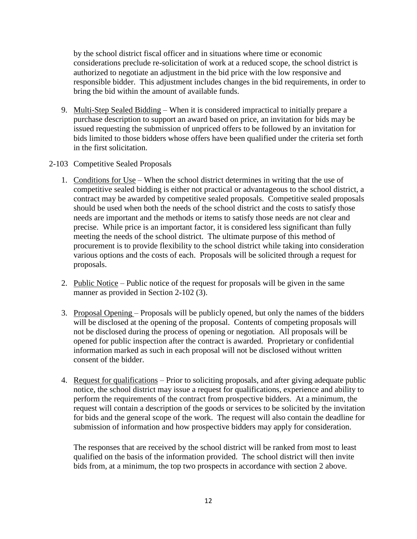by the school district fiscal officer and in situations where time or economic considerations preclude re-solicitation of work at a reduced scope, the school district is authorized to negotiate an adjustment in the bid price with the low responsive and responsible bidder. This adjustment includes changes in the bid requirements, in order to bring the bid within the amount of available funds.

- 9. Multi-Step Sealed Bidding When it is considered impractical to initially prepare a purchase description to support an award based on price, an invitation for bids may be issued requesting the submission of unpriced offers to be followed by an invitation for bids limited to those bidders whose offers have been qualified under the criteria set forth in the first solicitation.
- 2-103 Competitive Sealed Proposals
	- 1. Conditions for Use When the school district determines in writing that the use of competitive sealed bidding is either not practical or advantageous to the school district, a contract may be awarded by competitive sealed proposals. Competitive sealed proposals should be used when both the needs of the school district and the costs to satisfy those needs are important and the methods or items to satisfy those needs are not clear and precise. While price is an important factor, it is considered less significant than fully meeting the needs of the school district. The ultimate purpose of this method of procurement is to provide flexibility to the school district while taking into consideration various options and the costs of each. Proposals will be solicited through a request for proposals.
	- 2. Public Notice Public notice of the request for proposals will be given in the same manner as provided in Section 2-102 (3).
	- 3. Proposal Opening Proposals will be publicly opened, but only the names of the bidders will be disclosed at the opening of the proposal. Contents of competing proposals will not be disclosed during the process of opening or negotiation. All proposals will be opened for public inspection after the contract is awarded. Proprietary or confidential information marked as such in each proposal will not be disclosed without written consent of the bidder.
	- 4. Request for qualifications Prior to soliciting proposals, and after giving adequate public notice, the school district may issue a request for qualifications, experience and ability to perform the requirements of the contract from prospective bidders. At a minimum, the request will contain a description of the goods or services to be solicited by the invitation for bids and the general scope of the work. The request will also contain the deadline for submission of information and how prospective bidders may apply for consideration.

The responses that are received by the school district will be ranked from most to least qualified on the basis of the information provided. The school district will then invite bids from, at a minimum, the top two prospects in accordance with section 2 above.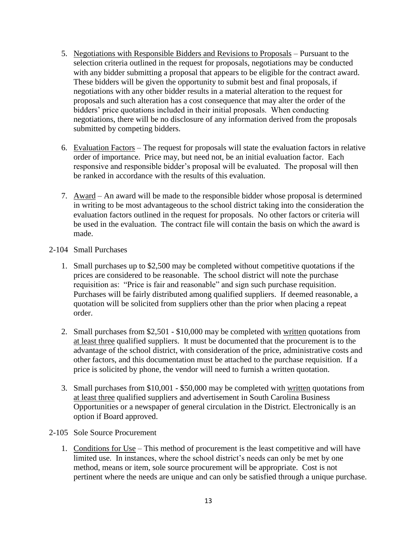- 5. Negotiations with Responsible Bidders and Revisions to Proposals Pursuant to the selection criteria outlined in the request for proposals, negotiations may be conducted with any bidder submitting a proposal that appears to be eligible for the contract award. These bidders will be given the opportunity to submit best and final proposals, if negotiations with any other bidder results in a material alteration to the request for proposals and such alteration has a cost consequence that may alter the order of the bidders' price quotations included in their initial proposals. When conducting negotiations, there will be no disclosure of any information derived from the proposals submitted by competing bidders.
- 6. Evaluation Factors The request for proposals will state the evaluation factors in relative order of importance. Price may, but need not, be an initial evaluation factor. Each responsive and responsible bidder's proposal will be evaluated. The proposal will then be ranked in accordance with the results of this evaluation.
- 7. Award An award will be made to the responsible bidder whose proposal is determined in writing to be most advantageous to the school district taking into the consideration the evaluation factors outlined in the request for proposals. No other factors or criteria will be used in the evaluation. The contract file will contain the basis on which the award is made.
- 2-104 Small Purchases
	- 1. Small purchases up to \$2,500 may be completed without competitive quotations if the prices are considered to be reasonable. The school district will note the purchase requisition as: "Price is fair and reasonable" and sign such purchase requisition. Purchases will be fairly distributed among qualified suppliers. If deemed reasonable, a quotation will be solicited from suppliers other than the prior when placing a repeat order.
	- 2. Small purchases from \$2,501 \$10,000 may be completed with written quotations from at least three qualified suppliers. It must be documented that the procurement is to the advantage of the school district, with consideration of the price, administrative costs and other factors, and this documentation must be attached to the purchase requisition. If a price is solicited by phone, the vendor will need to furnish a written quotation.
	- 3. Small purchases from \$10,001 \$50,000 may be completed with written quotations from at least three qualified suppliers and advertisement in South Carolina Business Opportunities or a newspaper of general circulation in the District. Electronically is an option if Board approved.
- 2-105 Sole Source Procurement
	- 1. Conditions for Use This method of procurement is the least competitive and will have limited use. In instances, where the school district's needs can only be met by one method, means or item, sole source procurement will be appropriate. Cost is not pertinent where the needs are unique and can only be satisfied through a unique purchase.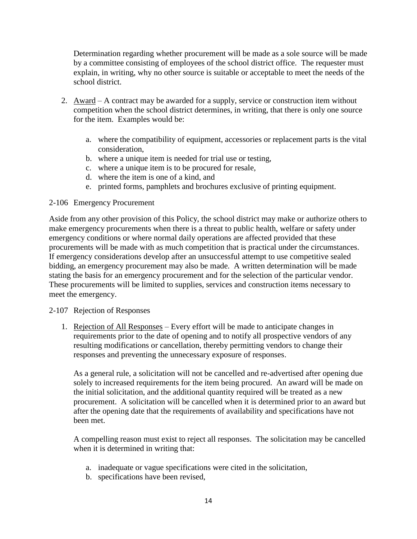Determination regarding whether procurement will be made as a sole source will be made by a committee consisting of employees of the school district office. The requester must explain, in writing, why no other source is suitable or acceptable to meet the needs of the school district.

- 2. Award A contract may be awarded for a supply, service or construction item without competition when the school district determines, in writing, that there is only one source for the item. Examples would be:
	- a. where the compatibility of equipment, accessories or replacement parts is the vital consideration,
	- b. where a unique item is needed for trial use or testing,
	- c. where a unique item is to be procured for resale,
	- d. where the item is one of a kind, and
	- e. printed forms, pamphlets and brochures exclusive of printing equipment.

### 2-106 Emergency Procurement

Aside from any other provision of this Policy, the school district may make or authorize others to make emergency procurements when there is a threat to public health, welfare or safety under emergency conditions or where normal daily operations are affected provided that these procurements will be made with as much competition that is practical under the circumstances. If emergency considerations develop after an unsuccessful attempt to use competitive sealed bidding, an emergency procurement may also be made. A written determination will be made stating the basis for an emergency procurement and for the selection of the particular vendor. These procurements will be limited to supplies, services and construction items necessary to meet the emergency.

## 2-107 Rejection of Responses

1. Rejection of All Responses – Every effort will be made to anticipate changes in requirements prior to the date of opening and to notify all prospective vendors of any resulting modifications or cancellation, thereby permitting vendors to change their responses and preventing the unnecessary exposure of responses.

As a general rule, a solicitation will not be cancelled and re-advertised after opening due solely to increased requirements for the item being procured. An award will be made on the initial solicitation, and the additional quantity required will be treated as a new procurement. A solicitation will be cancelled when it is determined prior to an award but after the opening date that the requirements of availability and specifications have not been met.

A compelling reason must exist to reject all responses. The solicitation may be cancelled when it is determined in writing that:

- a. inadequate or vague specifications were cited in the solicitation,
- b. specifications have been revised,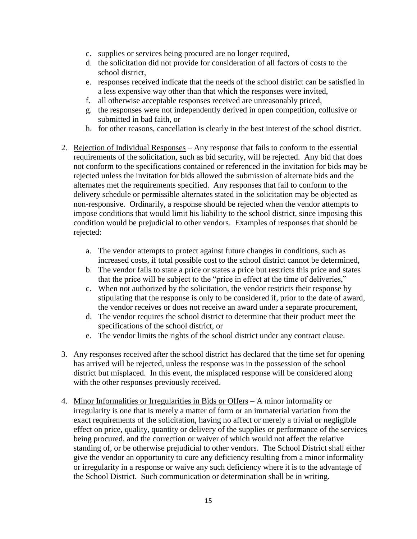- c. supplies or services being procured are no longer required,
- d. the solicitation did not provide for consideration of all factors of costs to the school district,
- e. responses received indicate that the needs of the school district can be satisfied in a less expensive way other than that which the responses were invited,
- f. all otherwise acceptable responses received are unreasonably priced,
- g. the responses were not independently derived in open competition, collusive or submitted in bad faith, or
- h. for other reasons, cancellation is clearly in the best interest of the school district.
- 2. Rejection of Individual Responses Any response that fails to conform to the essential requirements of the solicitation, such as bid security, will be rejected. Any bid that does not conform to the specifications contained or referenced in the invitation for bids may be rejected unless the invitation for bids allowed the submission of alternate bids and the alternates met the requirements specified. Any responses that fail to conform to the delivery schedule or permissible alternates stated in the solicitation may be objected as non-responsive. Ordinarily, a response should be rejected when the vendor attempts to impose conditions that would limit his liability to the school district, since imposing this condition would be prejudicial to other vendors. Examples of responses that should be rejected:
	- a. The vendor attempts to protect against future changes in conditions, such as increased costs, if total possible cost to the school district cannot be determined,
	- b. The vendor fails to state a price or states a price but restricts this price and states that the price will be subject to the "price in effect at the time of deliveries,"
	- c. When not authorized by the solicitation, the vendor restricts their response by stipulating that the response is only to be considered if, prior to the date of award, the vendor receives or does not receive an award under a separate procurement,
	- d. The vendor requires the school district to determine that their product meet the specifications of the school district, or
	- e. The vendor limits the rights of the school district under any contract clause.
- 3. Any responses received after the school district has declared that the time set for opening has arrived will be rejected, unless the response was in the possession of the school district but misplaced. In this event, the misplaced response will be considered along with the other responses previously received.
- 4. Minor Informalities or Irregularities in Bids or Offers A minor informality or irregularity is one that is merely a matter of form or an immaterial variation from the exact requirements of the solicitation, having no affect or merely a trivial or negligible effect on price, quality, quantity or delivery of the supplies or performance of the services being procured, and the correction or waiver of which would not affect the relative standing of, or be otherwise prejudicial to other vendors. The School District shall either give the vendor an opportunity to cure any deficiency resulting from a minor informality or irregularity in a response or waive any such deficiency where it is to the advantage of the School District. Such communication or determination shall be in writing.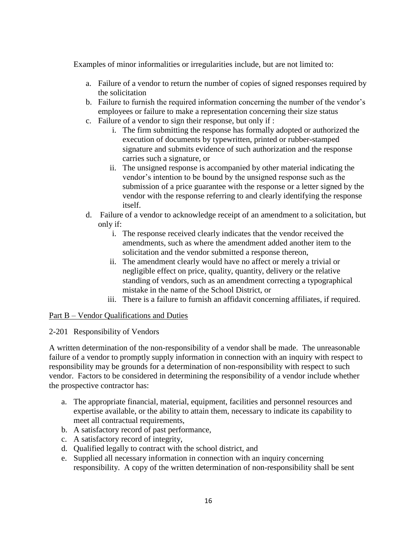Examples of minor informalities or irregularities include, but are not limited to:

- a. Failure of a vendor to return the number of copies of signed responses required by the solicitation
- b. Failure to furnish the required information concerning the number of the vendor's employees or failure to make a representation concerning their size status
- c. Failure of a vendor to sign their response, but only if :
	- i. The firm submitting the response has formally adopted or authorized the execution of documents by typewritten, printed or rubber-stamped signature and submits evidence of such authorization and the response carries such a signature, or
	- ii. The unsigned response is accompanied by other material indicating the vendor's intention to be bound by the unsigned response such as the submission of a price guarantee with the response or a letter signed by the vendor with the response referring to and clearly identifying the response itself.
- d. Failure of a vendor to acknowledge receipt of an amendment to a solicitation, but only if:
	- i. The response received clearly indicates that the vendor received the amendments, such as where the amendment added another item to the solicitation and the vendor submitted a response thereon,
	- ii. The amendment clearly would have no affect or merely a trivial or negligible effect on price, quality, quantity, delivery or the relative standing of vendors, such as an amendment correcting a typographical mistake in the name of the School District, or
	- iii. There is a failure to furnish an affidavit concerning affiliates, if required.

## Part B – Vendor Qualifications and Duties

## 2-201 Responsibility of Vendors

A written determination of the non-responsibility of a vendor shall be made. The unreasonable failure of a vendor to promptly supply information in connection with an inquiry with respect to responsibility may be grounds for a determination of non-responsibility with respect to such vendor. Factors to be considered in determining the responsibility of a vendor include whether the prospective contractor has:

- a. The appropriate financial, material, equipment, facilities and personnel resources and expertise available, or the ability to attain them, necessary to indicate its capability to meet all contractual requirements,
- b. A satisfactory record of past performance,
- c. A satisfactory record of integrity,
- d. Qualified legally to contract with the school district, and
- e. Supplied all necessary information in connection with an inquiry concerning responsibility. A copy of the written determination of non-responsibility shall be sent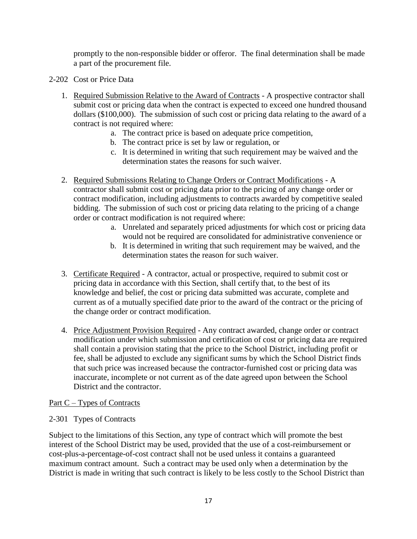promptly to the non-responsible bidder or offeror. The final determination shall be made a part of the procurement file.

- 2-202 Cost or Price Data
	- 1. Required Submission Relative to the Award of Contracts A prospective contractor shall submit cost or pricing data when the contract is expected to exceed one hundred thousand dollars (\$100,000). The submission of such cost or pricing data relating to the award of a contract is not required where:
		- a. The contract price is based on adequate price competition,
		- b. The contract price is set by law or regulation, or
		- c. It is determined in writing that such requirement may be waived and the determination states the reasons for such waiver.
	- 2. Required Submissions Relating to Change Orders or Contract Modifications A contractor shall submit cost or pricing data prior to the pricing of any change order or contract modification, including adjustments to contracts awarded by competitive sealed bidding. The submission of such cost or pricing data relating to the pricing of a change order or contract modification is not required where:
		- a. Unrelated and separately priced adjustments for which cost or pricing data would not be required are consolidated for administrative convenience or
		- b. It is determined in writing that such requirement may be waived, and the determination states the reason for such waiver.
	- 3. Certificate Required A contractor, actual or prospective, required to submit cost or pricing data in accordance with this Section, shall certify that, to the best of its knowledge and belief, the cost or pricing data submitted was accurate, complete and current as of a mutually specified date prior to the award of the contract or the pricing of the change order or contract modification.
	- 4. Price Adjustment Provision Required Any contract awarded, change order or contract modification under which submission and certification of cost or pricing data are required shall contain a provision stating that the price to the School District, including profit or fee, shall be adjusted to exclude any significant sums by which the School District finds that such price was increased because the contractor-furnished cost or pricing data was inaccurate, incomplete or not current as of the date agreed upon between the School District and the contractor.

# Part C – Types of Contracts

# 2-301 Types of Contracts

Subject to the limitations of this Section, any type of contract which will promote the best interest of the School District may be used, provided that the use of a cost-reimbursement or cost-plus-a-percentage-of-cost contract shall not be used unless it contains a guaranteed maximum contract amount. Such a contract may be used only when a determination by the District is made in writing that such contract is likely to be less costly to the School District than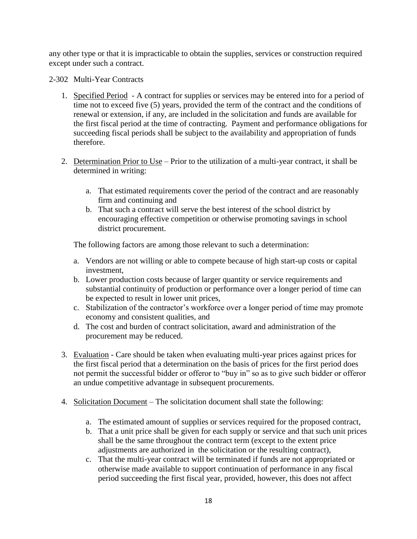any other type or that it is impracticable to obtain the supplies, services or construction required except under such a contract.

2-302 Multi-Year Contracts

- 1. Specified Period A contract for supplies or services may be entered into for a period of time not to exceed five (5) years, provided the term of the contract and the conditions of renewal or extension, if any, are included in the solicitation and funds are available for the first fiscal period at the time of contracting. Payment and performance obligations for succeeding fiscal periods shall be subject to the availability and appropriation of funds therefore.
- 2. Determination Prior to Use Prior to the utilization of a multi-year contract, it shall be determined in writing:
	- a. That estimated requirements cover the period of the contract and are reasonably firm and continuing and
	- b. That such a contract will serve the best interest of the school district by encouraging effective competition or otherwise promoting savings in school district procurement.

The following factors are among those relevant to such a determination:

- a. Vendors are not willing or able to compete because of high start-up costs or capital investment,
- b. Lower production costs because of larger quantity or service requirements and substantial continuity of production or performance over a longer period of time can be expected to result in lower unit prices,
- c. Stabilization of the contractor's workforce over a longer period of time may promote economy and consistent qualities, and
- d. The cost and burden of contract solicitation, award and administration of the procurement may be reduced.
- 3. Evaluation Care should be taken when evaluating multi-year prices against prices for the first fiscal period that a determination on the basis of prices for the first period does not permit the successful bidder or offeror to "buy in" so as to give such bidder or offeror an undue competitive advantage in subsequent procurements.
- 4. Solicitation Document The solicitation document shall state the following:
	- a. The estimated amount of supplies or services required for the proposed contract,
	- b. That a unit price shall be given for each supply or service and that such unit prices shall be the same throughout the contract term (except to the extent price adjustments are authorized in the solicitation or the resulting contract),
	- c. That the multi-year contract will be terminated if funds are not appropriated or otherwise made available to support continuation of performance in any fiscal period succeeding the first fiscal year, provided, however, this does not affect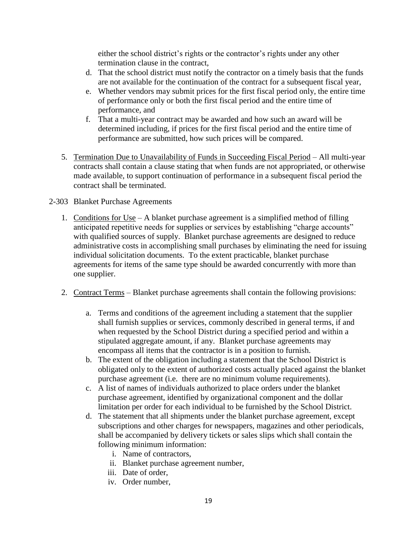either the school district's rights or the contractor's rights under any other termination clause in the contract,

- d. That the school district must notify the contractor on a timely basis that the funds are not available for the continuation of the contract for a subsequent fiscal year,
- e. Whether vendors may submit prices for the first fiscal period only, the entire time of performance only or both the first fiscal period and the entire time of performance, and
- f. That a multi-year contract may be awarded and how such an award will be determined including, if prices for the first fiscal period and the entire time of performance are submitted, how such prices will be compared.
- 5. Termination Due to Unavailability of Funds in Succeeding Fiscal Period All multi-year contracts shall contain a clause stating that when funds are not appropriated, or otherwise made available, to support continuation of performance in a subsequent fiscal period the contract shall be terminated.

# 2-303 Blanket Purchase Agreements

- 1. Conditions for Use A blanket purchase agreement is a simplified method of filling anticipated repetitive needs for supplies or services by establishing "charge accounts" with qualified sources of supply. Blanket purchase agreements are designed to reduce administrative costs in accomplishing small purchases by eliminating the need for issuing individual solicitation documents. To the extent practicable, blanket purchase agreements for items of the same type should be awarded concurrently with more than one supplier.
- 2. Contract Terms Blanket purchase agreements shall contain the following provisions:
	- a. Terms and conditions of the agreement including a statement that the supplier shall furnish supplies or services, commonly described in general terms, if and when requested by the School District during a specified period and within a stipulated aggregate amount, if any. Blanket purchase agreements may encompass all items that the contractor is in a position to furnish.
	- b. The extent of the obligation including a statement that the School District is obligated only to the extent of authorized costs actually placed against the blanket purchase agreement (i.e. there are no minimum volume requirements).
	- c. A list of names of individuals authorized to place orders under the blanket purchase agreement, identified by organizational component and the dollar limitation per order for each individual to be furnished by the School District.
	- d. The statement that all shipments under the blanket purchase agreement, except subscriptions and other charges for newspapers, magazines and other periodicals, shall be accompanied by delivery tickets or sales slips which shall contain the following minimum information:
		- i. Name of contractors,
		- ii. Blanket purchase agreement number,
		- iii. Date of order,
		- iv. Order number,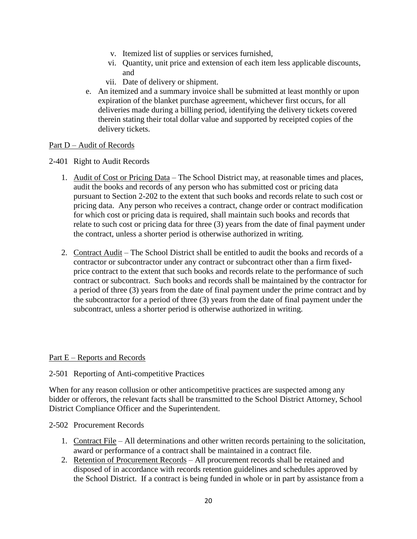- v. Itemized list of supplies or services furnished,
- vi. Quantity, unit price and extension of each item less applicable discounts, and
- vii. Date of delivery or shipment.
- e. An itemized and a summary invoice shall be submitted at least monthly or upon expiration of the blanket purchase agreement, whichever first occurs, for all deliveries made during a billing period, identifying the delivery tickets covered therein stating their total dollar value and supported by receipted copies of the delivery tickets.

## Part D – Audit of Records

- 2-401 Right to Audit Records
	- 1. Audit of Cost or Pricing Data The School District may, at reasonable times and places, audit the books and records of any person who has submitted cost or pricing data pursuant to Section 2-202 to the extent that such books and records relate to such cost or pricing data. Any person who receives a contract, change order or contract modification for which cost or pricing data is required, shall maintain such books and records that relate to such cost or pricing data for three (3) years from the date of final payment under the contract, unless a shorter period is otherwise authorized in writing.
	- 2. Contract Audit The School District shall be entitled to audit the books and records of a contractor or subcontractor under any contract or subcontract other than a firm fixedprice contract to the extent that such books and records relate to the performance of such contract or subcontract. Such books and records shall be maintained by the contractor for a period of three (3) years from the date of final payment under the prime contract and by the subcontractor for a period of three (3) years from the date of final payment under the subcontract, unless a shorter period is otherwise authorized in writing.

## Part E – Reports and Records

## 2-501 Reporting of Anti-competitive Practices

When for any reason collusion or other anticompetitive practices are suspected among any bidder or offerors, the relevant facts shall be transmitted to the School District Attorney, School District Compliance Officer and the Superintendent.

## 2-502 Procurement Records

- 1. Contract File All determinations and other written records pertaining to the solicitation, award or performance of a contract shall be maintained in a contract file.
- 2. Retention of Procurement Records All procurement records shall be retained and disposed of in accordance with records retention guidelines and schedules approved by the School District. If a contract is being funded in whole or in part by assistance from a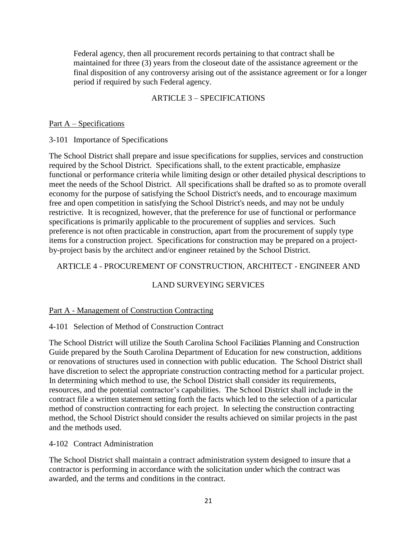Federal agency, then all procurement records pertaining to that contract shall be maintained for three (3) years from the closeout date of the assistance agreement or the final disposition of any controversy arising out of the assistance agreement or for a longer period if required by such Federal agency.

# ARTICLE 3 – SPECIFICATIONS

### Part A – Specifications

3-101 Importance of Specifications

The School District shall prepare and issue specifications for supplies, services and construction required by the School District. Specifications shall, to the extent practicable, emphasize functional or performance criteria while limiting design or other detailed physical descriptions to meet the needs of the School District. All specifications shall be drafted so as to promote overall economy for the purpose of satisfying the School District's needs, and to encourage maximum free and open competition in satisfying the School District's needs, and may not be unduly restrictive. It is recognized, however, that the preference for use of functional or performance specifications is primarily applicable to the procurement of supplies and services. Such preference is not often practicable in construction, apart from the procurement of supply type items for a construction project. Specifications for construction may be prepared on a projectby-project basis by the architect and/or engineer retained by the School District.

## ARTICLE 4 - PROCUREMENT OF CONSTRUCTION, ARCHITECT - ENGINEER AND

# LAND SURVEYING SERVICES

## Part A - Management of Construction Contracting

## 4-101 Selection of Method of Construction Contract

The School District will utilize the South Carolina School Facilities Planning and Construction Guide prepared by the South Carolina Department of Education for new construction, additions or renovations of structures used in connection with public education. The School District shall have discretion to select the appropriate construction contracting method for a particular project. In determining which method to use, the School District shall consider its requirements, resources, and the potential contractor's capabilities. The School District shall include in the contract file a written statement setting forth the facts which led to the selection of a particular method of construction contracting for each project. In selecting the construction contracting method, the School District should consider the results achieved on similar projects in the past and the methods used.

## 4-102 Contract Administration

The School District shall maintain a contract administration system designed to insure that a contractor is performing in accordance with the solicitation under which the contract was awarded, and the terms and conditions in the contract.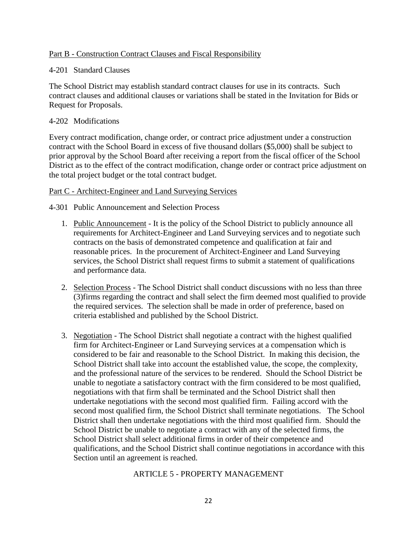## Part B - Construction Contract Clauses and Fiscal Responsibility

## 4-201 Standard Clauses

The School District may establish standard contract clauses for use in its contracts. Such contract clauses and additional clauses or variations shall be stated in the Invitation for Bids or Request for Proposals.

## 4-202 Modifications

Every contract modification, change order, or contract price adjustment under a construction contract with the School Board in excess of five thousand dollars (\$5,000) shall be subject to prior approval by the School Board after receiving a report from the fiscal officer of the School District as to the effect of the contract modification, change order or contract price adjustment on the total project budget or the total contract budget.

## Part C - Architect-Engineer and Land Surveying Services

4-301 Public Announcement and Selection Process

- 1. Public Announcement It is the policy of the School District to publicly announce all requirements for Architect-Engineer and Land Surveying services and to negotiate such contracts on the basis of demonstrated competence and qualification at fair and reasonable prices. In the procurement of Architect-Engineer and Land Surveying services, the School District shall request firms to submit a statement of qualifications and performance data.
- 2. Selection Process The School District shall conduct discussions with no less than three (3)firms regarding the contract and shall select the firm deemed most qualified to provide the required services. The selection shall be made in order of preference, based on criteria established and published by the School District.
- 3. Negotiation The School District shall negotiate a contract with the highest qualified firm for Architect-Engineer or Land Surveying services at a compensation which is considered to be fair and reasonable to the School District. In making this decision, the School District shall take into account the established value, the scope, the complexity, and the professional nature of the services to be rendered. Should the School District be unable to negotiate a satisfactory contract with the firm considered to be most qualified, negotiations with that firm shall be terminated and the School District shall then undertake negotiations with the second most qualified firm. Failing accord with the second most qualified firm, the School District shall terminate negotiations. The School District shall then undertake negotiations with the third most qualified firm. Should the School District be unable to negotiate a contract with any of the selected firms, the School District shall select additional firms in order of their competence and qualifications, and the School District shall continue negotiations in accordance with this Section until an agreement is reached.

# ARTICLE 5 - PROPERTY MANAGEMENT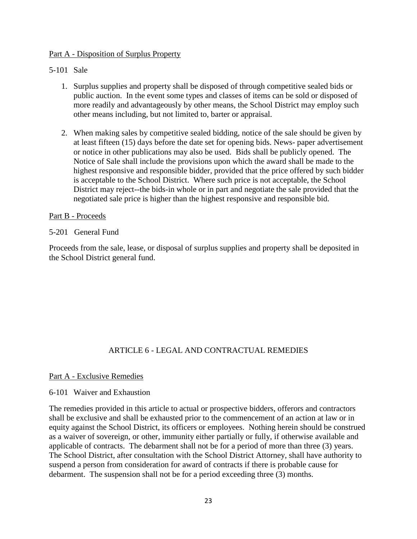## Part A - Disposition of Surplus Property

## 5-101 Sale

- 1. Surplus supplies and property shall be disposed of through competitive sealed bids or public auction. In the event some types and classes of items can be sold or disposed of more readily and advantageously by other means, the School District may employ such other means including, but not limited to, barter or appraisal.
- 2. When making sales by competitive sealed bidding, notice of the sale should be given by at least fifteen (15) days before the date set for opening bids. News- paper advertisement or notice in other publications may also be used. Bids shall be publicly opened. The Notice of Sale shall include the provisions upon which the award shall be made to the highest responsive and responsible bidder, provided that the price offered by such bidder is acceptable to the School District. Where such price is not acceptable, the School District may reject--the bids-in whole or in part and negotiate the sale provided that the negotiated sale price is higher than the highest responsive and responsible bid.

## Part B - Proceeds

## 5-201 General Fund

Proceeds from the sale, lease, or disposal of surplus supplies and property shall be deposited in the School District general fund.

# ARTICLE 6 - LEGAL AND CONTRACTUAL REMEDIES

## Part A - Exclusive Remedies

## 6-101 Waiver and Exhaustion

The remedies provided in this article to actual or prospective bidders, offerors and contractors shall be exclusive and shall be exhausted prior to the commencement of an action at law or in equity against the School District, its officers or employees. Nothing herein should be construed as a waiver of sovereign, or other, immunity either partially or fully, if otherwise available and applicable of contracts. The debarment shall not be for a period of more than three (3) years. The School District, after consultation with the School District Attorney, shall have authority to suspend a person from consideration for award of contracts if there is probable cause for debarment. The suspension shall not be for a period exceeding three (3) months.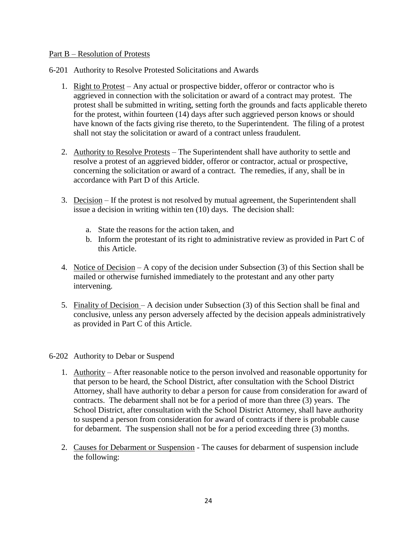## Part B – Resolution of Protests

- 6-201 Authority to Resolve Protested Solicitations and Awards
	- 1. Right to Protest Any actual or prospective bidder, offeror or contractor who is aggrieved in connection with the solicitation or award of a contract may protest. The protest shall be submitted in writing, setting forth the grounds and facts applicable thereto for the protest, within fourteen (14) days after such aggrieved person knows or should have known of the facts giving rise thereto, to the Superintendent. The filing of a protest shall not stay the solicitation or award of a contract unless fraudulent.
	- 2. Authority to Resolve Protests The Superintendent shall have authority to settle and resolve a protest of an aggrieved bidder, offeror or contractor, actual or prospective, concerning the solicitation or award of a contract. The remedies, if any, shall be in accordance with Part D of this Article.
	- 3. Decision If the protest is not resolved by mutual agreement, the Superintendent shall issue a decision in writing within ten (10) days. The decision shall:
		- a. State the reasons for the action taken, and
		- b. Inform the protestant of its right to administrative review as provided in Part C of this Article.
	- 4. Notice of Decision A copy of the decision under Subsection (3) of this Section shall be mailed or otherwise furnished immediately to the protestant and any other party intervening.
	- 5. Finality of Decision A decision under Subsection (3) of this Section shall be final and conclusive, unless any person adversely affected by the decision appeals administratively as provided in Part C of this Article.

#### 6-202 Authority to Debar or Suspend

- 1. Authority After reasonable notice to the person involved and reasonable opportunity for that person to be heard, the School District, after consultation with the School District Attorney, shall have authority to debar a person for cause from consideration for award of contracts. The debarment shall not be for a period of more than three (3) years. The School District, after consultation with the School District Attorney, shall have authority to suspend a person from consideration for award of contracts if there is probable cause for debarment. The suspension shall not be for a period exceeding three (3) months.
- 2. Causes for Debarment or Suspension The causes for debarment of suspension include the following: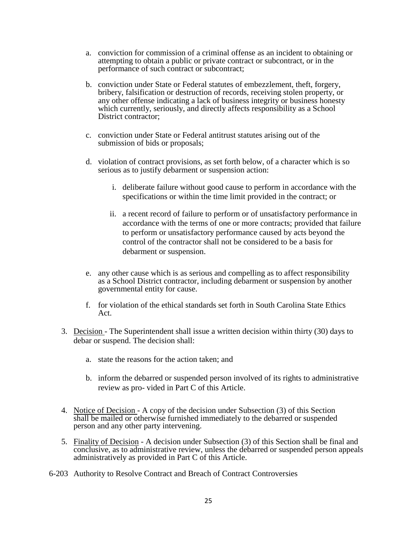- a. conviction for commission of a criminal offense as an incident to obtaining or attempting to obtain a public or private contract or subcontract, or in the performance of such contract or subcontract;
- b. conviction under State or Federal statutes of embezzlement, theft, forgery, bribery, falsification or destruction of records, receiving stolen property, or any other offense indicating a lack of business integrity or business honesty which currently, seriously, and directly affects responsibility as a School District contractor;
- c. conviction under State or Federal antitrust statutes arising out of the submission of bids or proposals;
- d. violation of contract provisions, as set forth below, of a character which is so serious as to justify debarment or suspension action:
	- i. deliberate failure without good cause to perform in accordance with the specifications or within the time limit provided in the contract; or
	- ii. a recent record of failure to perform or of unsatisfactory performance in accordance with the terms of one or more contracts; provided that failure to perform or unsatisfactory performance caused by acts beyond the control of the contractor shall not be considered to be a basis for debarment or suspension.
- e. any other cause which is as serious and compelling as to affect responsibility as a School District contractor, including debarment or suspension by another governmental entity for cause.
- f. for violation of the ethical standards set forth in South Carolina State Ethics Act.
- 3. Decision The Superintendent shall issue a written decision within thirty (30) days to debar or suspend. The decision shall:
	- a. state the reasons for the action taken; and
	- b. inform the debarred or suspended person involved of its rights to administrative review as pro- vided in Part C of this Article.
- 4. Notice of Decision A copy of the decision under Subsection (3) of this Section shall be mailed or otherwise furnished immediately to the debarred or suspended person and any other party intervening.
- 5. Finality of Decision A decision under Subsection (3) of this Section shall be final and conclusive, as to administrative review, unless the debarred or suspended person appeals administratively as provided in Part C of this Article.
- 6-203 Authority to Resolve Contract and Breach of Contract Controversies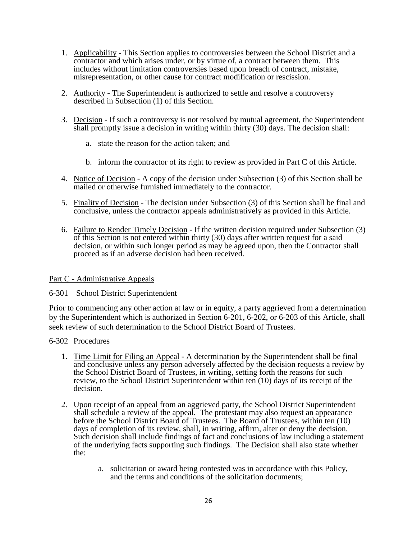- 1. Applicability This Section applies to controversies between the School District and a contractor and which arises under, or by virtue of, a contract between them. This includes without limitation controversies based upon breach of contract, mistake, misrepresentation, or other cause for contract modification or rescission.
- 2. Authority The Superintendent is authorized to settle and resolve a controversy described in Subsection (1) of this Section.
- 3. Decision If such a controversy is not resolved by mutual agreement, the Superintendent shall promptly issue a decision in writing within thirty (30) days. The decision shall:
	- a. state the reason for the action taken; and
	- b. inform the contractor of its right to review as provided in Part C of this Article.
- 4. Notice of Decision A copy of the decision under Subsection (3) of this Section shall be mailed or otherwise furnished immediately to the contractor.
- 5. Finality of Decision The decision under Subsection (3) of this Section shall be final and conclusive, unless the contractor appeals administratively as provided in this Article.
- 6. Failure to Render Timely Decision If the written decision required under Subsection (3) of this Section is not entered within thirty (30) days after written request for a said decision, or within such longer period as may be agreed upon, then the Contractor shall proceed as if an adverse decision had been received.

#### Part C - Administrative Appeals

#### 6-301 School District Superintendent

Prior to commencing any other action at law or in equity, a party aggrieved from a determination by the Superintendent which is authorized in Section 6-201, 6-202, or 6-203 of this Article, shall seek review of such determination to the School District Board of Trustees.

- 6-302 Procedures
	- 1. Time Limit for Filing an Appeal A determination by the Superintendent shall be final and conclusive unless any person adversely affected by the decision requests a review by the School District Board of Trustees, in writing, setting forth the reasons for such review, to the School District Superintendent within ten (10) days of its receipt of the decision.
	- 2. Upon receipt of an appeal from an aggrieved party, the School District Superintendent shall schedule a review of the appeal. The protestant may also request an appearance before the School District Board of Trustees. The Board of Trustees, within ten (10) days of completion of its review, shall, in writing, affirm, alter or deny the decision. Such decision shall include findings of fact and conclusions of law including a statement of the underlying facts supporting such findings. The Decision shall also state whether the:
		- a. solicitation or award being contested was in accordance with this Policy, and the terms and conditions of the solicitation documents;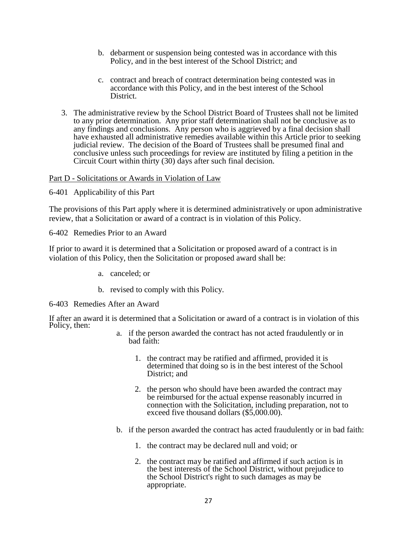- b. debarment or suspension being contested was in accordance with this Policy, and in the best interest of the School District; and
- c. contract and breach of contract determination being contested was in accordance with this Policy, and in the best interest of the School District.
- 3. The administrative review by the School District Board of Trustees shall not be limited to any prior determination. Any prior staff determination shall not be conclusive as to any findings and conclusions. Any person who is aggrieved by a final decision shall have exhausted all administrative remedies available within this Article prior to seeking judicial review. The decision of the Board of Trustees shall be presumed final and conclusive unless such proceedings for review are instituted by filing a petition in the Circuit Court within thirty (30) days after such final decision.

### Part D - Solicitations or Awards in Violation of Law

6-401 Applicability of this Part

The provisions of this Part apply where it is determined administratively or upon administrative review, that a Solicitation or award of a contract is in violation of this Policy.

6-402 Remedies Prior to an Award

If prior to award it is determined that a Solicitation or proposed award of a contract is in violation of this Policy, then the Solicitation or proposed award shall be:

- a. canceled; or
- b. revised to comply with this Policy.
- 6-403 Remedies After an Award

If after an award it is determined that a Solicitation or award of a contract is in violation of this Policy, then:

- a. if the person awarded the contract has not acted fraudulently or in bad faith:
	- 1. the contract may be ratified and affirmed, provided it is determined that doing so is in the best interest of the School District; and
	- 2. the person who should have been awarded the contract may be reimbursed for the actual expense reasonably incurred in connection with the Solicitation, including preparation, not to exceed five thousand dollars (\$5,000.00).
- b. if the person awarded the contract has acted fraudulently or in bad faith:
	- 1. the contract may be declared null and void; or
	- 2. the contract may be ratified and affirmed if such action is in the best interests of the School District, without prejudice to the School District's right to such damages as may be appropriate.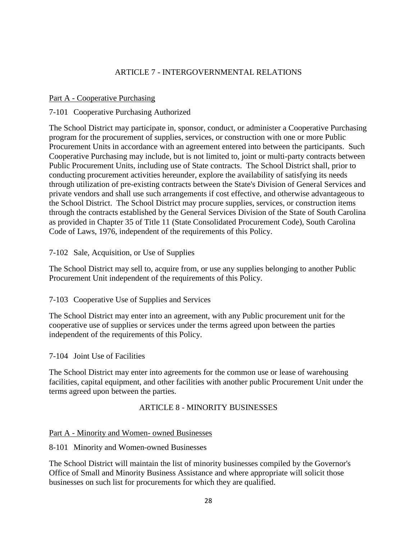# ARTICLE 7 - INTERGOVERNMENTAL RELATIONS

## Part A - Cooperative Purchasing

# 7-101 Cooperative Purchasing Authorized

The School District may participate in, sponsor, conduct, or administer a Cooperative Purchasing program for the procurement of supplies, services, or construction with one or more Public Procurement Units in accordance with an agreement entered into between the participants. Such Cooperative Purchasing may include, but is not limited to, joint or multi-party contracts between Public Procurement Units, including use of State contracts. The School District shall, prior to conducting procurement activities hereunder, explore the availability of satisfying its needs through utilization of pre-existing contracts between the State's Division of General Services and private vendors and shall use such arrangements if cost effective, and otherwise advantageous to the School District. The School District may procure supplies, services, or construction items through the contracts established by the General Services Division of the State of South Carolina as provided in Chapter 35 of Title 11 (State Consolidated Procurement Code), South Carolina Code of Laws, 1976, independent of the requirements of this Policy.

## 7-102 Sale, Acquisition, or Use of Supplies

The School District may sell to, acquire from, or use any supplies belonging to another Public Procurement Unit independent of the requirements of this Policy.

# 7-103 Cooperative Use of Supplies and Services

The School District may enter into an agreement, with any Public procurement unit for the cooperative use of supplies or services under the terms agreed upon between the parties independent of the requirements of this Policy.

## 7-104 Joint Use of Facilities

The School District may enter into agreements for the common use or lease of warehousing facilities, capital equipment, and other facilities with another public Procurement Unit under the terms agreed upon between the parties.

# ARTICLE 8 - MINORITY BUSINESSES

# Part A - Minority and Women- owned Businesses

## 8-101 Minority and Women-owned Businesses

The School District will maintain the list of minority businesses compiled by the Governor's Office of Small and Minority Business Assistance and where appropriate will solicit those businesses on such list for procurements for which they are qualified.